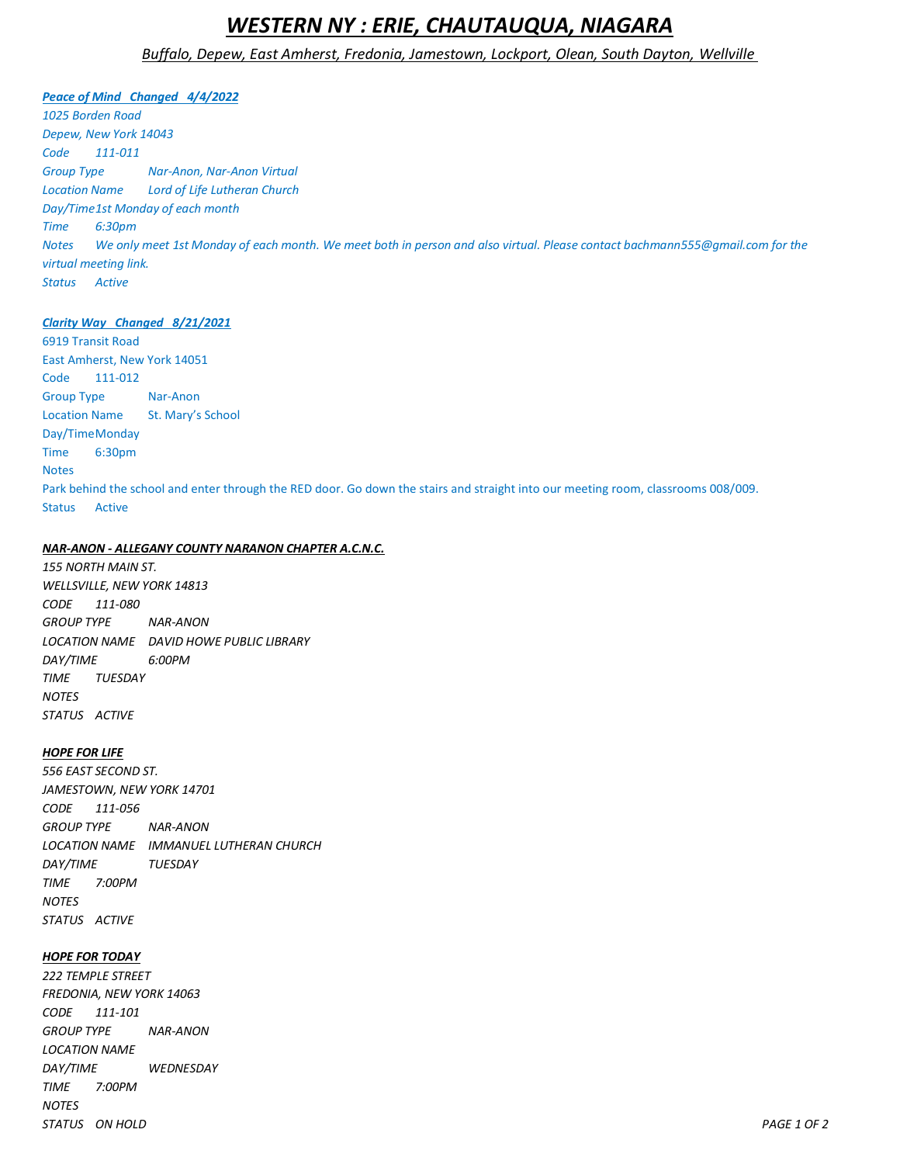# *WESTERN NY : ERIE, CHAUTAUQUA, NIAGARA*

## *Buffalo, Depew, East Amherst, Fredonia, Jamestown, Lockport, Olean, South Dayton, Wellville*

*Peace of Mind Changed 4/4/2022*

*1025 Borden Road Depew, New York 14043 Code 111-011 Group Type Nar-Anon, Nar-Anon Virtual Location Name Lord of Life Lutheran Church Day/Time1st Monday of each month Time 6:30pm Notes We only meet 1st Monday of each month. We meet both in person and also virtual. Please contact bachmann555@gmail.com for the virtual meeting link. Status Active*

### *Clarity Way Changed 8/21/2021*

6919 Transit Road East Amherst, New York 14051 Code 111-012 Group Type Nar-Anon Location Name St. Mary's School Day/TimeMonday Time 6:30pm Notes Park behind the school and enter through the RED door. Go down the stairs and straight into our meeting room, classrooms 008/009. Status Active

#### *NAR-ANON - ALLEGANY COUNTY NARANON CHAPTER A.C.N.C.*

*155 NORTH MAIN ST. WELLSVILLE, NEW YORK 14813 CODE 111-080 GROUP TYPE NAR-ANON LOCATION NAME DAVID HOWE PUBLIC LIBRARY DAY/TIME 6:00PM TIME TUESDAY NOTES STATUS ACTIVE*

### *HOPE FOR LIFE*

*556 EAST SECOND ST. JAMESTOWN, NEW YORK 14701 CODE 111-056 GROUP TYPE NAR-ANON LOCATION NAME IMMANUEL LUTHERAN CHURCH DAY/TIME TUESDAY TIME 7:00PM NOTES STATUS ACTIVE*

### *HOPE FOR TODAY*

*222 TEMPLE STREET FREDONIA, NEW YORK 14063 CODE 111-101 GROUP TYPE NAR-ANON LOCATION NAME DAY/TIME WEDNESDAY TIME 7:00PM NOTES STATUS ON HOLD PAGE 1 OF 2*